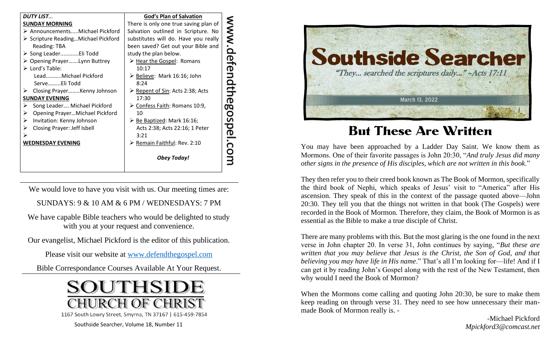| <b>DUTY LIST</b>                                                    | <b>God's Plan of Salvation</b>                                             |
|---------------------------------------------------------------------|----------------------------------------------------------------------------|
| <b>SUNDAY MORNING</b>                                               | There is only one true saving plan of                                      |
| > AnnouncementsMichael Pickford                                     | Salvation outlined in Scripture. No                                        |
| $\triangleright$ Scripture Reading Michael Pickford<br>Reading: TBA | substitutes will do. Have you really<br>been saved? Get out your Bible and |
| > Song LeaderEli Todd                                               | study the plan below.                                                      |
| ▶ Opening PrayerLynn Buttrey                                        | > Hear the Gospel: Romans                                                  |
| $\triangleright$ Lord's Table:                                      | 10:17                                                                      |
| LeadMichael Pickford                                                | $\triangleright$ Believe: Mark 16:16; John                                 |
| ServeEli Todd                                                       | 8:24                                                                       |
| Closing PrayerKenny Johnson<br>➤                                    | ► Repent of Sin: Acts 2:38; Acts                                           |
| <b>SUNDAY EVENING</b>                                               | 17:30                                                                      |
| Song Leader Michael Pickford<br>➤                                   | ▶ Confess Faith: Romans 10:9,                                              |
| Opening PrayerMichael Pickford<br>➤                                 | 10                                                                         |
| Invitation: Kenny Johnson<br>➤                                      | $\triangleright$ <u>Be Baptized</u> : Mark 16:16;                          |
| Closing Prayer: Jeff Isbell<br>➤                                    | Acts 2:38; Acts 22:16; 1 Peter                                             |
| ⋗                                                                   | 3:21                                                                       |
| <b>WEDNESDAY EVENING</b>                                            | $\triangleright$ Remain Faithful: Rev. 2:10                                |
|                                                                     | <b>Obey Today!</b>                                                         |

We would love to have you visit with us. Our meeting times are:

SUNDAYS: 9 & 10 AM & 6 PM / WEDNESDAYS: 7 PM

We have capable Bible teachers who would be delighted to study with you at your request and convenience.

Our evangelist, Michael Pickford is the editor of this publication.

Please visit our website at [www.defendthegospel.com](http://www.defendthegospel.com/)

Bible Correspondance Courses Available At Your Request.





## But These Are Written

You may have been approached by a Ladder Day Saint. We know them as Mormons. One of their favorite passages is John 20:30, "*And truly Jesus did many other signs in the presence of His disciples, which are not written in this book*."

They then refer you to their creed book known as The Book of Mormon, specifically the third book of Nephi, which speaks of Jesus' visit to "America" after His ascension. They speak of this in the context of the passage quoted above—John 20:30. They tell you that the things not written in that book (The Gospels) were recorded in the Book of Mormon. Therefore, they claim, the Book of Mormon is as essential as the Bible to make a true disciple of Christ.

There are many problems with this. But the most glaring is the one found in the next verse in John chapter 20. In verse 31, John continues by saying, "*But these are written that you may believe that Jesus is the Christ, the Son of God, and that believing you may have life in His name*." That's all I'm looking for—life! And if I can get it by reading John's Gospel along with the rest of the New Testament, then why would I need the Book of Mormon?

When the Mormons come calling and quoting John 20:30, be sure to make them keep reading on through verse 31. They need to see how unnecessary their manmade Book of Mormon really is. -

> -Michael Pickford *Mpickford3@comcast.net*

Southside Searcher, Volume 18, Number 11